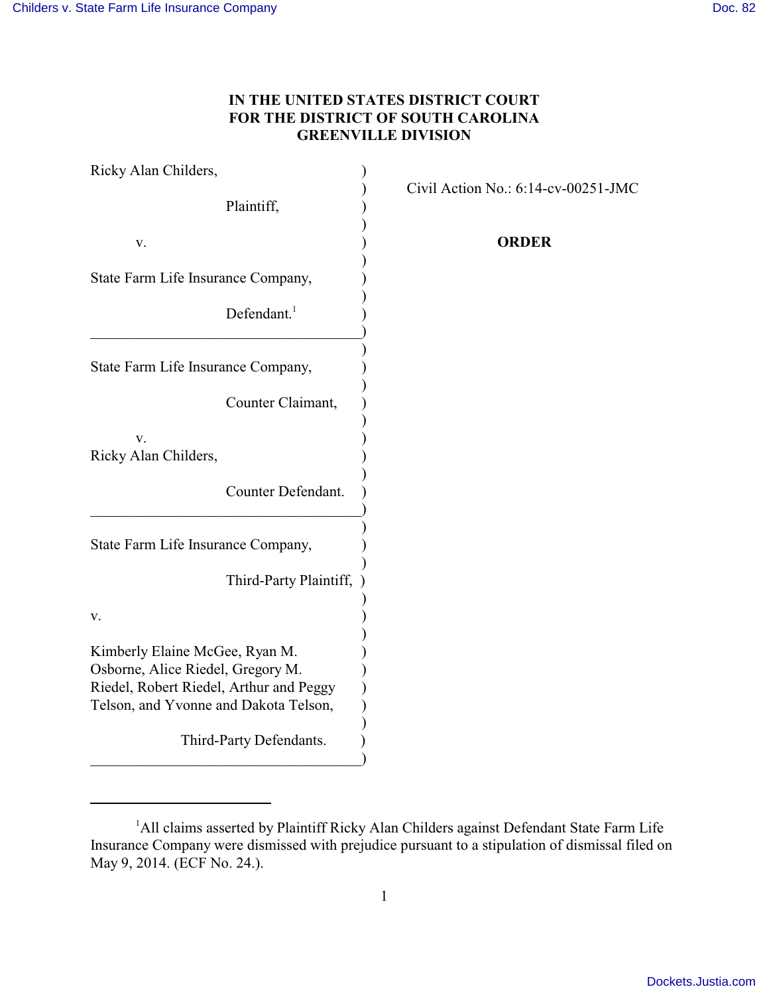## **IN THE UNITED STATES DISTRICT COURT FOR THE DISTRICT OF SOUTH CAROLINA GREENVILLE DIVISION**

| Ricky Alan Childers,                    |       |
|-----------------------------------------|-------|
|                                         | Civil |
| Plaintiff,                              |       |
|                                         |       |
| v.                                      |       |
| State Farm Life Insurance Company,      |       |
|                                         |       |
| Defendant. <sup>1</sup>                 |       |
|                                         |       |
| State Farm Life Insurance Company,      |       |
|                                         |       |
| Counter Claimant,                       |       |
| v.                                      |       |
| Ricky Alan Childers,                    |       |
|                                         |       |
| Counter Defendant.                      |       |
|                                         |       |
|                                         |       |
| State Farm Life Insurance Company,      |       |
| Third-Party Plaintiff,                  |       |
|                                         |       |
| v.                                      |       |
|                                         |       |
| Kimberly Elaine McGee, Ryan M.          |       |
| Osborne, Alice Riedel, Gregory M.       |       |
| Riedel, Robert Riedel, Arthur and Peggy |       |
| Telson, and Yvonne and Dakota Telson,   |       |
|                                         |       |
| Third-Party Defendants.                 |       |
|                                         |       |

) Civil Action No.: 6:14-cv-00251-JMC

v. ) **ORDER**

<sup>&</sup>lt;sup>1</sup>All claims asserted by Plaintiff Ricky Alan Childers against Defendant State Farm Life Insurance Company were dismissed with prejudice pursuant to a stipulation of dismissal filed on May 9, 2014. (ECF No. 24.).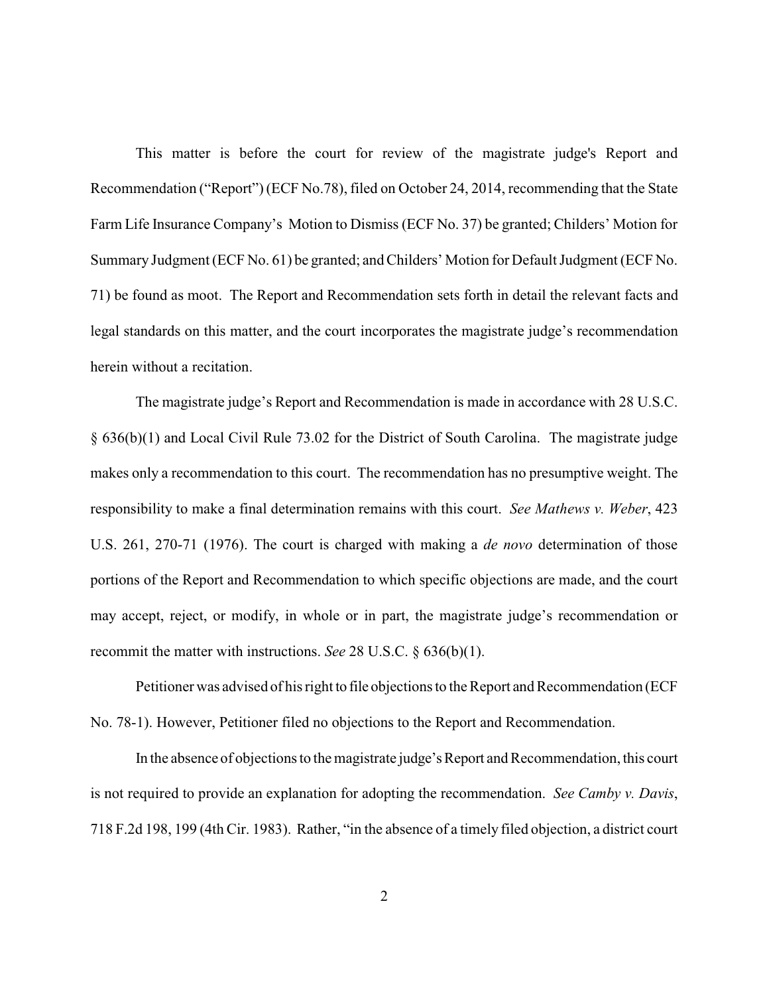This matter is before the court for review of the magistrate judge's Report and Recommendation ("Report") (ECF No.78), filed on October 24, 2014, recommending that the State Farm Life Insurance Company's Motion to Dismiss (ECF No. 37) be granted; Childers' Motion for Summary Judgment (ECF No. 61) be granted; and Childers' Motion for Default Judgment (ECF No. 71) be found as moot. The Report and Recommendation sets forth in detail the relevant facts and legal standards on this matter, and the court incorporates the magistrate judge's recommendation herein without a recitation.

The magistrate judge's Report and Recommendation is made in accordance with 28 U.S.C. § 636(b)(1) and Local Civil Rule 73.02 for the District of South Carolina. The magistrate judge makes only a recommendation to this court. The recommendation has no presumptive weight. The responsibility to make a final determination remains with this court. *See Mathews v. Weber*, 423 U.S. 261, 270-71 (1976). The court is charged with making a *de novo* determination of those portions of the Report and Recommendation to which specific objections are made, and the court may accept, reject, or modify, in whole or in part, the magistrate judge's recommendation or recommit the matter with instructions. *See* 28 U.S.C. § 636(b)(1).

Petitioner was advised of his right to file objections to the Report and Recommendation (ECF No. 78-1). However, Petitioner filed no objections to the Report and Recommendation.

In the absence of objections to the magistrate judge's Report and Recommendation, this court is not required to provide an explanation for adopting the recommendation. *See Camby v. Davis*, 718 F.2d 198, 199 (4th Cir. 1983). Rather, "in the absence of a timely filed objection, a district court